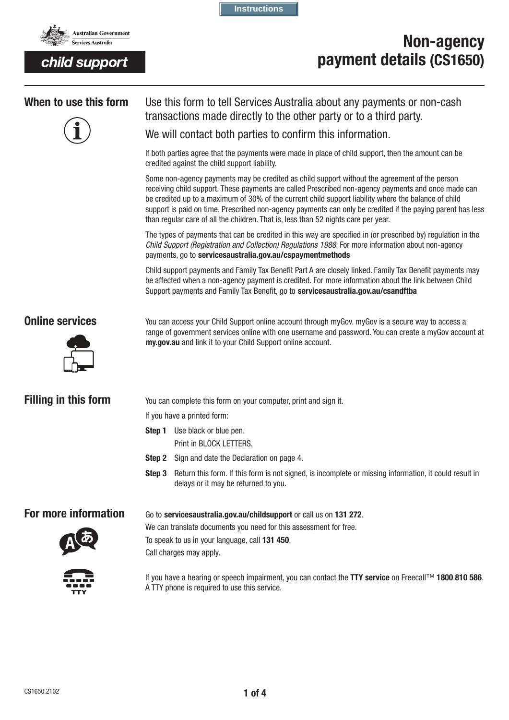

**Instructions**

# **Non-agency payment details (CS1650)**



**When to use this form** Use this form to tell Services Australia about any payments or non-cash transactions made directly to the other party or to a third party.

We will contact both parties to confirm this information.

If both parties agree that the payments were made in place of child support, then the amount can be credited against the child support liability.

Some non-agency payments may be credited as child support without the agreement of the person receiving child support. These payments are called Prescribed non-agency payments and once made can be credited up to a maximum of 30% of the current child support liability where the balance of child support is paid on time. Prescribed non-agency payments can only be credited if the paying parent has less than regular care of all the children. That is, less than 52 nights care per year.

The types of payments that can be credited in this way are specified in (or prescribed by) regulation in the *Child Support (Registration and Collection) Regulations 1988*. For more information about non-agency payments, go to servicesaustralia.gov.au/cspaymentmethods

Child support payments and Family Tax Benefit Part A are closely linked. Family Tax Benefit payments may be affected when a non-agency payment is credited. For more information about the link between Child Support payments and Family Tax Benefit, go to **servicesaustralia.gov.au/csandftba** 



**Online services** You can access your Child Support online account through myGov. myGov is a secure way to access a range of government services online with one username and password. You can create a myGov account at **my.gov.au** and link it to your Child Support online account.

**Filling in this form** You can complete this form on your computer, print and sign it.

If you have a printed form:

Call charges may apply.

- **Step 1** Use black or blue pen. Print in BLOCK LETTERS.
- **Step 2** Sign and date the Declaration on page 4.
- **Step 3** Return this form. If this form is not signed, is incomplete or missing information, it could result in delays or it may be returned to you.

**For more information** Go to servicesaustralia.gov.au/childsupport or call us on 131 272.



We can translate documents you need for this assessment for free. To speak to us in your language, call **131 450**.



If you have a hearing or speech impairment, you can contact the **TTY service** on Freecall™ **1800 810 586**. A TTY phone is required to use this service.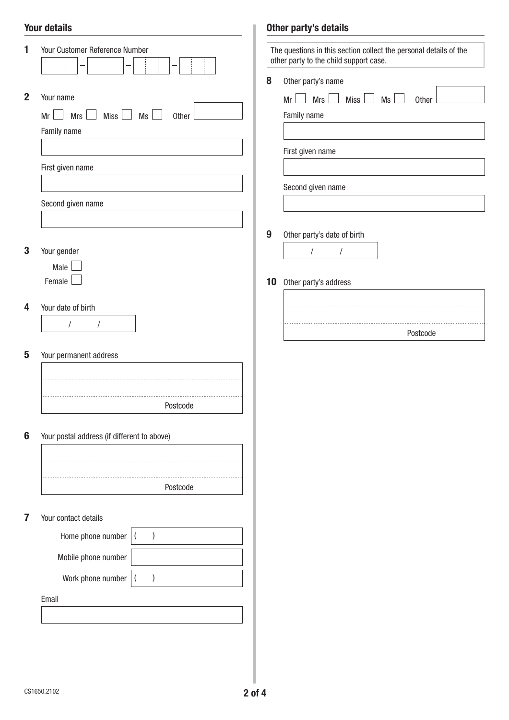## Your details

| 1<br>$\mathbf{2}$ | Your Customer Reference Number<br>Your name<br><b>Mrs</b><br>$Miss$ $Ms$<br>$Mr \Box$<br>$\mathcal{L}$<br>Other<br>Family name<br>First given name<br>Second given name | 8                | The questions in this section collect the personal details of the<br>other party to the child support case.<br>Other party's name<br><b>Mrs</b><br>Mr<br>Miss<br>Ms<br>$\mathbb{R}$<br>a l<br>Other<br>Family name<br>First given name<br>Second given name |
|-------------------|-------------------------------------------------------------------------------------------------------------------------------------------------------------------------|------------------|-------------------------------------------------------------------------------------------------------------------------------------------------------------------------------------------------------------------------------------------------------------|
|                   |                                                                                                                                                                         | $\boldsymbol{9}$ | Other party's date of birth                                                                                                                                                                                                                                 |
| 3                 | Your gender                                                                                                                                                             |                  | $\sqrt{\phantom{a}}$<br>$\sqrt{\phantom{a}}$                                                                                                                                                                                                                |
|                   | Male                                                                                                                                                                    |                  |                                                                                                                                                                                                                                                             |
|                   | Female                                                                                                                                                                  | 10               | Other party's address                                                                                                                                                                                                                                       |
| 4                 | Your date of birth                                                                                                                                                      |                  |                                                                                                                                                                                                                                                             |
|                   | $\sqrt{2}$<br>$\prime$                                                                                                                                                  |                  | Postcode                                                                                                                                                                                                                                                    |
| 5                 | Your permanent address                                                                                                                                                  |                  |                                                                                                                                                                                                                                                             |
|                   | Postcode                                                                                                                                                                |                  |                                                                                                                                                                                                                                                             |
| 6                 | Your postal address (if different to above)                                                                                                                             |                  |                                                                                                                                                                                                                                                             |
|                   |                                                                                                                                                                         |                  |                                                                                                                                                                                                                                                             |
|                   |                                                                                                                                                                         |                  |                                                                                                                                                                                                                                                             |
|                   | Postcode                                                                                                                                                                |                  |                                                                                                                                                                                                                                                             |
| 7                 | Your contact details                                                                                                                                                    |                  |                                                                                                                                                                                                                                                             |
|                   | Home phone number<br>$\overline{\phantom{a}}$                                                                                                                           |                  |                                                                                                                                                                                                                                                             |
|                   | Mobile phone number                                                                                                                                                     |                  |                                                                                                                                                                                                                                                             |
|                   | Work phone number                                                                                                                                                       |                  |                                                                                                                                                                                                                                                             |
|                   | Email                                                                                                                                                                   |                  |                                                                                                                                                                                                                                                             |
|                   |                                                                                                                                                                         |                  |                                                                                                                                                                                                                                                             |
|                   |                                                                                                                                                                         |                  |                                                                                                                                                                                                                                                             |

Other party's details

I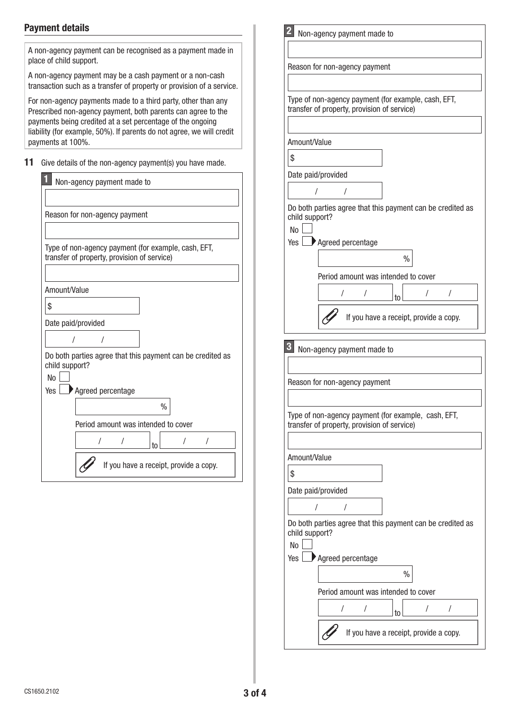# Payment details

| Reason for non-agency payment<br>Type of non-agency payment (for $\epsilon$<br>transfer of property, provision of se<br>Amount/Value<br>\$                                                                         |
|--------------------------------------------------------------------------------------------------------------------------------------------------------------------------------------------------------------------|
| Date paid/provided                                                                                                                                                                                                 |
| $\prime$<br>$\prime$<br>Do both parties agree that this pay<br>child support?<br>No<br>Agreed percentage<br>Yes                                                                                                    |
| Period amount was inten<br>If you have a red<br>$\mathbf{3}$<br>Non-agency payment made to<br>Reason for non-agency payment<br>Type of non-agency payment (for $\epsilon$<br>transfer of property, provision of se |
| Amount/Value<br>\$<br>Date paid/provided<br>$\sqrt{2}$<br>$\prime$<br>Do both parties agree that this pay<br>child support?<br>No<br>Agreed percentage<br>Yes                                                      |
|                                                                                                                                                                                                                    |

|                         | Type of non-agency payment (for example, cash, EFT,        |
|-------------------------|------------------------------------------------------------|
|                         | transfer of property, provision of service)                |
|                         |                                                            |
| Amount/Value            |                                                            |
| \$                      |                                                            |
|                         | Date paid/provided                                         |
|                         |                                                            |
| child support?          | Do both parties agree that this payment can be credited as |
| N <sub>o</sub>          |                                                            |
| Yes                     | Agreed percentage                                          |
|                         | $\%$                                                       |
|                         | Period amount was intended to cover                        |
|                         | 1<br>to                                                    |
|                         | If you have a receipt, provide a copy.                     |
|                         |                                                            |
|                         |                                                            |
|                         | Non-agency payment made to                                 |
| 3                       |                                                            |
|                         | Reason for non-agency payment                              |
|                         |                                                            |
|                         | Type of non-agency payment (for example, cash, EFT,        |
|                         | transfer of property, provision of service)                |
|                         |                                                            |
| Amount/Value            |                                                            |
| \$                      |                                                            |
|                         | Date paid/provided                                         |
|                         | T<br>I                                                     |
|                         | Do both parties agree that this payment can be credited as |
| child support?          |                                                            |
| N <sub>o</sub><br>Yes I |                                                            |
|                         | Agreed percentage                                          |
|                         | $\%$                                                       |
|                         | Period amount was intended to cover                        |